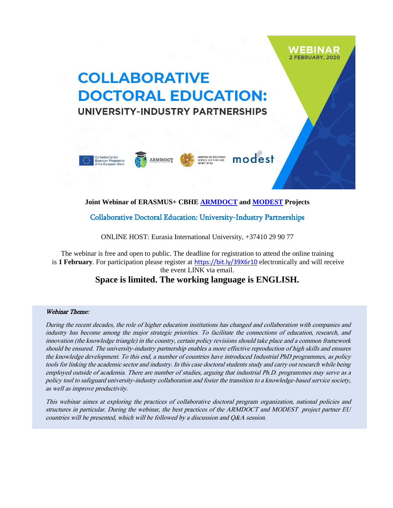## 2 FEBRUARY, 2020 **COLLABORATIVE DOCTORAL EDUCATION:** UNIVERSITY-INDUSTRY PARTNERSHIPS

WEBINAR



## **Joint Webinar of ERASMUS+ CBHE [ARMDOCT](http://www.armdoct.com/) and [MODEST](https://www.modest.lu.lv/en/) Projects**

Collaborative Doctoral Education: University-Industry Partnerships

ONLINE HOST: Eurasia International University, +37410 29 90 77

The webinar is free and open to public. The deadline for registration to attend the online training is **1 February**. For participation please register at <https://bit.ly/39X6r10> electronically and will receive the event LINK via email.

## **Space is limited. The working language is ENGLISH.**

## Webinar Theme:

During the recent decades, the role of higher education institutions has changed and collaboration with companies and industry has become among the major strategic priorities. To facilitate the connections of education, research, and innovation (the knowledge triangle) in the country, certain policy revisions should take place and a common framework should be ensured. The university-industry partnership enables a more effective reproduction of high skills and ensures the knowledge development. To this end, a number of countries have introduced Industrial PhD programmes, as policy tools for linking the academic sector and industry. In this case doctoral students study and carry out research while being employed outside of academia. There are number of studies, arguing that industrial Ph.D. programmes may serve as a policy tool to safeguard university-industry collaboration and foster the transition to a knowledge-based service society, as well as improve productivity.

This webinar aimes at exploring the practices of collaborative doctoral program organization, national policies and structures in particular. During the webinar, the best practices of the ARMDOCT and MODEST project partner EU countries will be presented, which will be followed by a discussion and Q&A session.